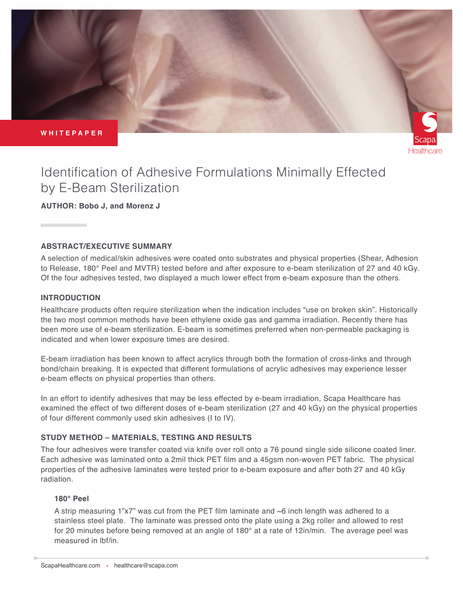**WHITEPAPER**



# Identification of Adhesive Formulations Minimally Effected by E-Beam Sterilization

**AUTHOR: Bobo J, and Morenz J**

## **ABSTRACT/EXECUTIVE SUMMARY**

A selection of medical/skin adhesives were coated onto substrates and physical properties (Shear, Adhesion to Release, 180° Peel and MVTR) tested before and after exposure to e-beam sterilization of 27 and 40 kGy. Of the four adhesives tested, two displayed a much lower effect from e-beam exposure than the others.

## **INTRODUCTION**

Healthcare products often require sterilization when the indication includes "use on broken skin". Historically the two most common methods have been ethylene oxide gas and gamma irradiation. Recently there has been more use of e-beam sterilization. E-beam is sometimes preferred when non-permeable packaging is indicated and when lower exposure times are desired.

E-beam irradiation has been known to affect acrylics through both the formation of cross-links and through bond/chain breaking. It is expected that different formulations of acrylic adhesives may experience lesser e-beam effects on physical properties than others.

In an effort to identify adhesives that may be less effected by e-beam irradiation, Scapa Healthcare has examined the effect of two different doses of e-beam sterilization (27 and 40 kGy) on the physical properties of four different commonly used skin adhesives (I to IV).

## **STUDY METHOD – MATERIALS, TESTING AND RESULTS**

The four adhesives were transfer coated via knife over roll onto a 76 pound single side silicone coated liner. Each adhesive was laminated onto a 2mil thick PET film and a 45gsm non-woven PET fabric. The physical properties of the adhesive laminates were tested prior to e-beam exposure and after both 27 and 40 kGy radiation.

## **180° Peel**

A strip measuring 1"x7" was cut from the PET film laminate and ~6 inch length was adhered to a stainless steel plate. The laminate was pressed onto the plate using a 2kg roller and allowed to rest for 20 minutes before being removed at an angle of 180° at a rate of 12in/min. The average peel was measured in lbf/in.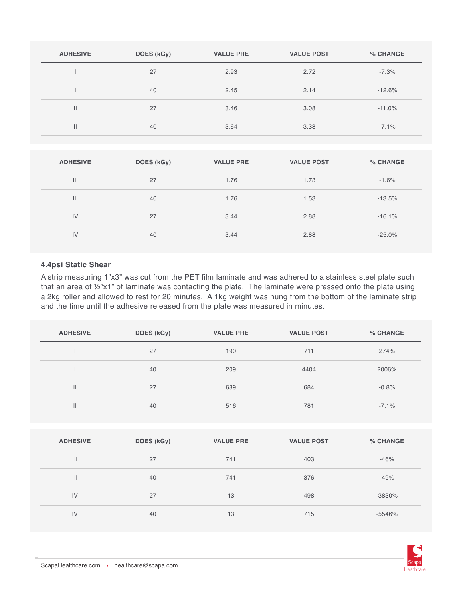| <b>ADHESIVE</b> | DOES (kGy) | <b>VALUE PRE</b> | <b>VALUE POST</b> | % CHANGE |
|-----------------|------------|------------------|-------------------|----------|
|                 | 27         | 2.93             | 2.72              | $-7.3%$  |
|                 | 40         | 2.45             | 2.14              | $-12.6%$ |
| Ш               | 27         | 3.46             | 3.08              | $-11.0%$ |
| П               | 40         | 3.64             | 3.38              | $-7.1%$  |

| <b>ADHESIVE</b> | DOES (kGy) | <b>VALUE PRE</b> | <b>VALUE POST</b> | % CHANGE |
|-----------------|------------|------------------|-------------------|----------|
| $\mathbf{III}$  | 27         | 1.76             | 1.73              | $-1.6%$  |
| $\mathbf{III}$  | 40         | 1.76             | 1.53              | $-13.5%$ |
| IV              | 27         | 3.44             | 2.88              | $-16.1%$ |
| IV              | 40         | 3.44             | 2.88              | $-25.0%$ |

#### **4.4psi Static Shear**

A strip measuring 1"x3" was cut from the PET film laminate and was adhered to a stainless steel plate such that an area of ½"x1" of laminate was contacting the plate. The laminate were pressed onto the plate using a 2kg roller and allowed to rest for 20 minutes. A 1kg weight was hung from the bottom of the laminate strip and the time until the adhesive released from the plate was measured in minutes.

| <b>ADHESIVE</b> | DOES (kGy) | <b>VALUE PRE</b> | <b>VALUE POST</b> | % CHANGE |
|-----------------|------------|------------------|-------------------|----------|
|                 | 27         | 190              | 711               | 274%     |
|                 | 40         | 209              | 4404              | 2006%    |
| $\mathbf{H}$    | 27         | 689              | 684               | $-0.8%$  |
| $\mathsf{I}$    | 40         | 516              | 781               | $-7.1%$  |

| <b>ADHESIVE</b> | DOES (kGy) | <b>VALUE PRE</b> | <b>VALUE POST</b> | % CHANGE |
|-----------------|------------|------------------|-------------------|----------|
| $\mathbf{III}$  | 27         | 741              | 403               | $-46%$   |
| $\mathbf{III}$  | 40         | 741              | 376               | $-49%$   |
| IV              | 27         | 13               | 498               | $-3830%$ |
| IV              | 40         | 13               | 715               | $-5546%$ |

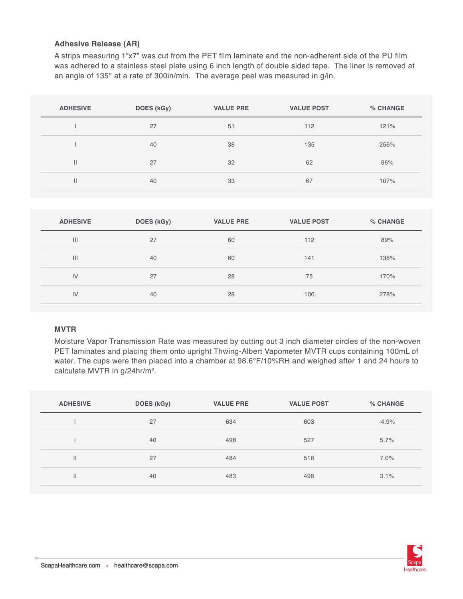#### **Adhesive Release (AR)**

A strips measuring 1"x7" was cut from the PET film laminate and the non-adherent side of the PU film was adhered to a stainless steel plate using 6 inch length of double sided tape. The liner is removed at an angle of 135° at a rate of 300in/min. The average peel was measured in g/in.

| <b>ADHESIVE</b> | DOES (kGy) | <b>VALUE PRE</b> | <b>VALUE POST</b> | % CHANGE |
|-----------------|------------|------------------|-------------------|----------|
|                 | 27         | 51               | 112               | 121%     |
|                 | 40         | 38               | 135               | 256%     |
| $\mathbf{  }$   | 27         | 32               | 62                | 96%      |
| $\mathsf{II}$   | 40         | 33               | 67                | 107%     |

| <b>ADHESIVE</b> | DOES (kGy) | <b>VALUE PRE</b> | <b>VALUE POST</b> | % CHANGE |
|-----------------|------------|------------------|-------------------|----------|
| $\mathbf{III}$  | 27         | 60               | 112               | 89%      |
| $\mathbf{III}$  | 40         | 60               | 141               | 138%     |
| IV              | 27         | 28               | 75                | 170%     |
| IV              | 40         | 28               | 106               | 278%     |

#### **MVTR**

Moisture Vapor Transmission Rate was measured by cutting out 3 inch diameter circles of the non-woven PET laminates and placing them onto upright Thwing-Albert Vapometer MVTR cups containing 100mL of water. The cups were then placed into a chamber at 98.6°F/10%RH and weighed after 1 and 24 hours to calculate MVTR in g/24hr/m2.

| <b>ADHESIVE</b> | DOES (kGy) | <b>VALUE PRE</b> | <b>VALUE POST</b> | % CHANGE |
|-----------------|------------|------------------|-------------------|----------|
|                 | 27         | 634              | 603               | $-4.9%$  |
|                 | 40         | 498              | 527               | 5.7%     |
| $\mathbf{H}$    | 27         | 484              | 518               | 7.0%     |
| $\mathbf{H}$    | 40         | 483              | 498               | 3.1%     |

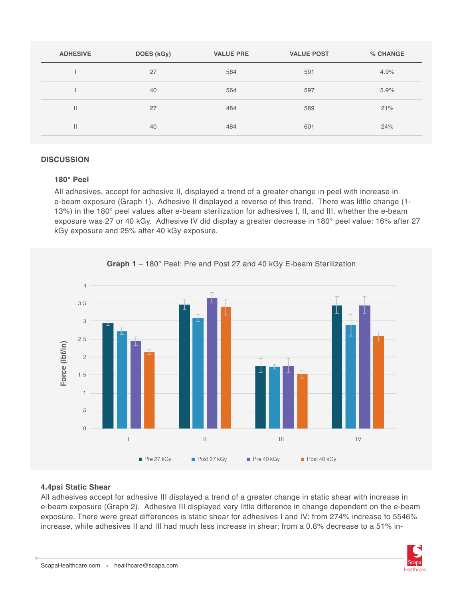| <b>ADHESIVE</b> | DOES (kGy) | <b>VALUE PRE</b> | <b>VALUE POST</b> | % CHANGE |
|-----------------|------------|------------------|-------------------|----------|
|                 | 27         | 564              | 591               | 4.9%     |
|                 | 40         | 564              | 597               | 5.9%     |
| $\mathbf{I}$    | 27         | 484              | 589               | 21%      |
|                 | 40         | 484              | 601               | 24%      |

#### **DISCUSSION**

#### **180° Peel**

All adhesives, accept for adhesive II, displayed a trend of a greater change in peel with increase in e-beam exposure (Graph 1). Adhesive II displayed a reverse of this trend. There was little change (1- 13%) in the 180° peel values after e-beam sterilization for adhesives I, II, and III, whether the e-beam exposure was 27 or 40 kGy. Adhesive IV did display a greater decrease in 180° peel value: 16% after 27 kGy exposure and 25% after 40 kGy exposure.



## **4.4psi Static Shear**

All adhesives accept for adhesive III displayed a trend of a greater change in static shear with increase in e-beam exposure (Graph 2). Adhesive III displayed very little difference in change dependent on the e-beam exposure. There were great differences is static shear for adhesives I and IV: from 274% increase to 5546% increase, while adhesives II and III had much less increase in shear: from a 0.8% decrease to a 51% in-

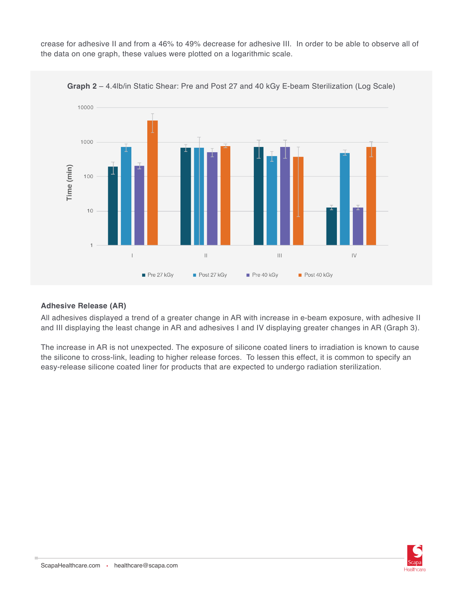crease for adhesive II and from a 46% to 49% decrease for adhesive III. In order to be able to observe all of the data on one graph, these values were plotted on a logarithmic scale.



**Graph 2** – 4.4lb/in Static Shear: Pre and Post 27 and 40 kGy E-beam Sterilization (Log Scale)

## **Adhesive Release (AR)**

All adhesives displayed a trend of a greater change in AR with increase in e-beam exposure, with adhesive II and III displaying the least change in AR and adhesives I and IV displaying greater changes in AR (Graph 3).

The increase in AR is not unexpected. The exposure of silicone coated liners to irradiation is known to cause the silicone to cross-link, leading to higher release forces. To lessen this effect, it is common to specify an easy-release silicone coated liner for products that are expected to undergo radiation sterilization.

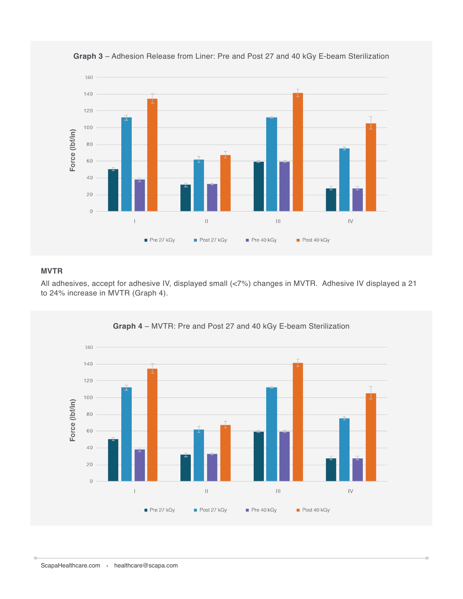

**Graph 3** – Adhesion Release from Liner: Pre and Post 27 and 40 kGy E-beam Sterilization

## **MVTR**

All adhesives, accept for adhesive IV, displayed small (<7%) changes in MVTR. Adhesive IV displayed a 21 to 24% increase in MVTR (Graph 4).